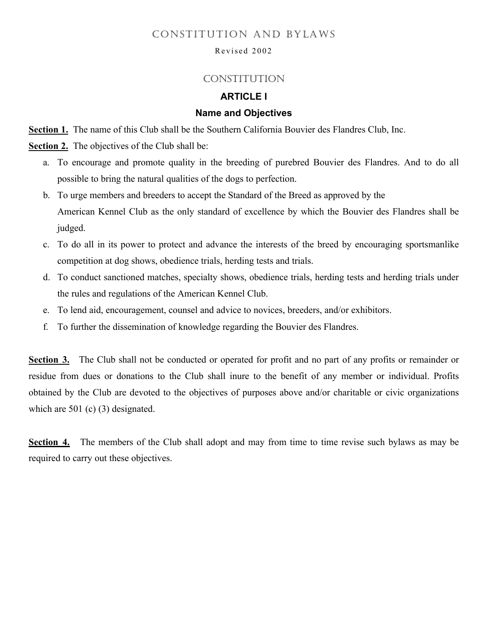## CONSTITUTION AND BYLAWS

#### Revised 2002

## **CONSTITUTION**

## **ARTICLE I**

#### **Name and Objectives**

**Section 1.** The name of this Club shall be the Southern California Bouvier des Flandres Club, Inc.

**Section 2.** The objectives of the Club shall be:

- a. To encourage and promote quality in the breeding of purebred Bouvier des Flandres. And to do all possible to bring the natural qualities of the dogs to perfection.
- b. To urge members and breeders to accept the Standard of the Breed as approved by the American Kennel Club as the only standard of excellence by which the Bouvier des Flandres shall be judged.
- c. To do all in its power to protect and advance the interests of the breed by encouraging sportsmanlike competition at dog shows, obedience trials, herding tests and trials.
- d. To conduct sanctioned matches, specialty shows, obedience trials, herding tests and herding trials under the rules and regulations of the American Kennel Club.
- e. To lend aid, encouragement, counsel and advice to novices, breeders, and/or exhibitors.
- f. To further the dissemination of knowledge regarding the Bouvier des Flandres.

**Section 3.** The Club shall not be conducted or operated for profit and no part of any profits or remainder or residue from dues or donations to the Club shall inure to the benefit of any member or individual. Profits obtained by the Club are devoted to the objectives of purposes above and/or charitable or civic organizations which are 501 (c) (3) designated.

**Section 4.** The members of the Club shall adopt and may from time to time revise such bylaws as may be required to carry out these objectives.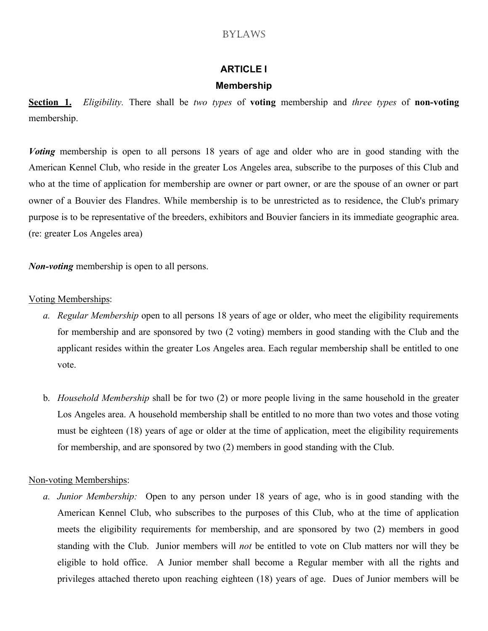# **ARTICLE I**

## **Membership**

**Section 1.** *Eligibility.* There shall be *two types* of **voting** membership and *three types* of **non-voting** membership.

*Voting* membership is open to all persons 18 years of age and older who are in good standing with the American Kennel Club, who reside in the greater Los Angeles area, subscribe to the purposes of this Club and who at the time of application for membership are owner or part owner, or are the spouse of an owner or part owner of a Bouvier des Flandres. While membership is to be unrestricted as to residence, the Club's primary purpose is to be representative of the breeders, exhibitors and Bouvier fanciers in its immediate geographic area. (re: greater Los Angeles area)

*Non-voting* membership is open to all persons.

## Voting Memberships:

- *a. Regular Membership* open to all persons 18 years of age or older, who meet the eligibility requirements for membership and are sponsored by two (2 voting) members in good standing with the Club and the applicant resides within the greater Los Angeles area. Each regular membership shall be entitled to one vote.
- b. *Household Membership* shall be for two (2) or more people living in the same household in the greater Los Angeles area. A household membership shall be entitled to no more than two votes and those voting must be eighteen (18) years of age or older at the time of application, meet the eligibility requirements for membership, and are sponsored by two (2) members in good standing with the Club.

## Non-voting Memberships:

*a. Junior Membership:* Open to any person under 18 years of age, who is in good standing with the American Kennel Club, who subscribes to the purposes of this Club, who at the time of application meets the eligibility requirements for membership, and are sponsored by two (2) members in good standing with the Club. Junior members will *not* be entitled to vote on Club matters nor will they be eligible to hold office. A Junior member shall become a Regular member with all the rights and privileges attached thereto upon reaching eighteen (18) years of age. Dues of Junior members will be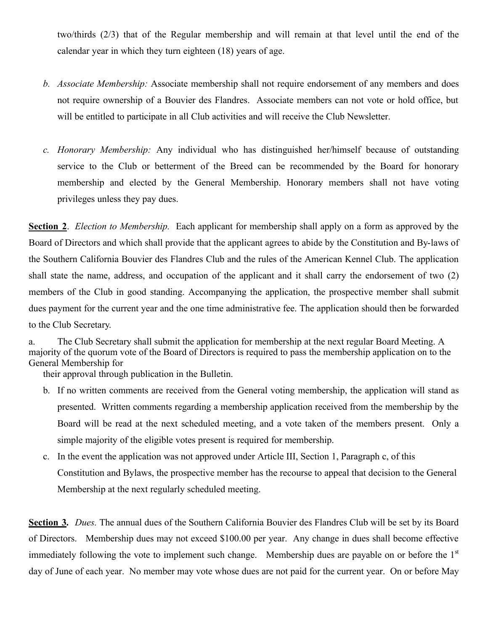two/thirds (2/3) that of the Regular membership and will remain at that level until the end of the calendar year in which they turn eighteen (18) years of age.

- *b. Associate Membership:* Associate membership shall not require endorsement of any members and does not require ownership of a Bouvier des Flandres. Associate members can not vote or hold office, but will be entitled to participate in all Club activities and will receive the Club Newsletter.
- *c. Honorary Membership:* Any individual who has distinguished her/himself because of outstanding service to the Club or betterment of the Breed can be recommended by the Board for honorary membership and elected by the General Membership. Honorary members shall not have voting privileges unless they pay dues.

**Section 2**. *Election to Membership.* Each applicant for membership shall apply on a form as approved by the Board of Directors and which shall provide that the applicant agrees to abide by the Constitution and By-laws of the Southern California Bouvier des Flandres Club and the rules of the American Kennel Club. The application shall state the name, address, and occupation of the applicant and it shall carry the endorsement of two (2) members of the Club in good standing. Accompanying the application, the prospective member shall submit dues payment for the current year and the one time administrative fee. The application should then be forwarded to the Club Secretary.

a. The Club Secretary shall submit the application for membership at the next regular Board Meeting. A majority of the quorum vote of the Board of Directors is required to pass the membership application on to the General Membership for

their approval through publication in the Bulletin.

- b. If no written comments are received from the General voting membership, the application will stand as presented. Written comments regarding a membership application received from the membership by the Board will be read at the next scheduled meeting, and a vote taken of the members present. Only a simple majority of the eligible votes present is required for membership.
- c. In the event the application was not approved under Article III, Section 1, Paragraph c, of this Constitution and Bylaws, the prospective member has the recourse to appeal that decision to the General Membership at the next regularly scheduled meeting.

**Section 3.** *Dues.* The annual dues of the Southern California Bouvier des Flandres Club will be set by its Board of Directors. Membership dues may not exceed \$100.00 per year. Any change in dues shall become effective immediately following the vote to implement such change. Membership dues are payable on or before the 1<sup>st</sup> day of June of each year. No member may vote whose dues are not paid for the current year. On or before May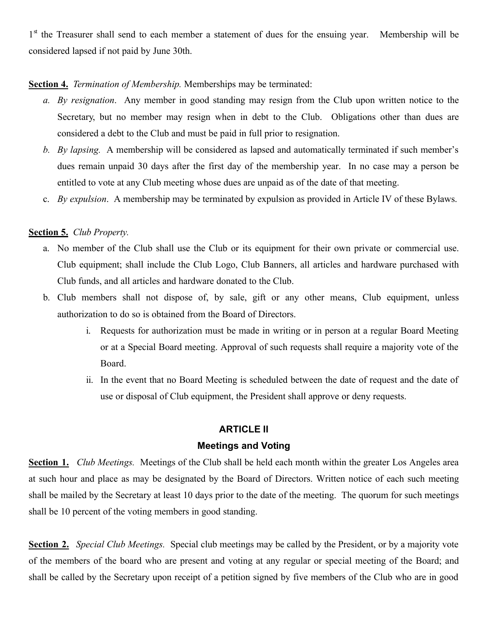1<sup>st</sup> the Treasurer shall send to each member a statement of dues for the ensuing year. Membership will be considered lapsed if not paid by June 30th.

## **Section 4.** *Termination of Membership.* Memberships may be terminated:

- *a. By resignation*. Any member in good standing may resign from the Club upon written notice to the Secretary, but no member may resign when in debt to the Club. Obligations other than dues are considered a debt to the Club and must be paid in full prior to resignation.
- *b. By lapsing.* A membership will be considered as lapsed and automatically terminated if such member's dues remain unpaid 30 days after the first day of the membership year. In no case may a person be entitled to vote at any Club meeting whose dues are unpaid as of the date of that meeting.
- c. *By expulsion*. A membership may be terminated by expulsion as provided in Article IV of these Bylaws.

## **Section 5.** *Club Property.*

- a. No member of the Club shall use the Club or its equipment for their own private or commercial use. Club equipment; shall include the Club Logo, Club Banners, all articles and hardware purchased with Club funds, and all articles and hardware donated to the Club.
- b. Club members shall not dispose of, by sale, gift or any other means, Club equipment, unless authorization to do so is obtained from the Board of Directors.
	- i. Requests for authorization must be made in writing or in person at a regular Board Meeting or at a Special Board meeting. Approval of such requests shall require a majority vote of the Board.
	- ii. In the event that no Board Meeting is scheduled between the date of request and the date of use or disposal of Club equipment, the President shall approve or deny requests.

#### **ARTICLE II**

#### **Meetings and Voting**

**Section 1.** *Club Meetings.* Meetings of the Club shall be held each month within the greater Los Angeles area at such hour and place as may be designated by the Board of Directors. Written notice of each such meeting shall be mailed by the Secretary at least 10 days prior to the date of the meeting. The quorum for such meetings shall be 10 percent of the voting members in good standing.

**Section 2.** *Special Club Meetings.* Special club meetings may be called by the President, or by a majority vote of the members of the board who are present and voting at any regular or special meeting of the Board; and shall be called by the Secretary upon receipt of a petition signed by five members of the Club who are in good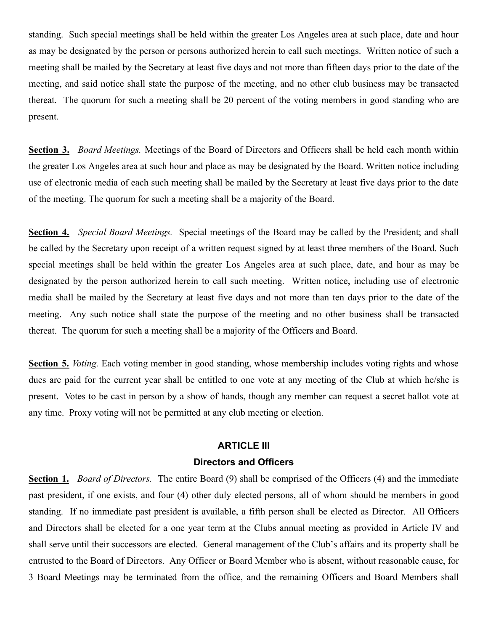standing. Such special meetings shall be held within the greater Los Angeles area at such place, date and hour as may be designated by the person or persons authorized herein to call such meetings. Written notice of such a meeting shall be mailed by the Secretary at least five days and not more than fifteen days prior to the date of the meeting, and said notice shall state the purpose of the meeting, and no other club business may be transacted thereat. The quorum for such a meeting shall be 20 percent of the voting members in good standing who are present.

**Section 3.** *Board Meetings.* Meetings of the Board of Directors and Officers shall be held each month within the greater Los Angeles area at such hour and place as may be designated by the Board. Written notice including use of electronic media of each such meeting shall be mailed by the Secretary at least five days prior to the date of the meeting. The quorum for such a meeting shall be a majority of the Board.

**Section 4.** *Special Board Meetings.* Special meetings of the Board may be called by the President; and shall be called by the Secretary upon receipt of a written request signed by at least three members of the Board. Such special meetings shall be held within the greater Los Angeles area at such place, date, and hour as may be designated by the person authorized herein to call such meeting. Written notice, including use of electronic media shall be mailed by the Secretary at least five days and not more than ten days prior to the date of the meeting. Any such notice shall state the purpose of the meeting and no other business shall be transacted thereat. The quorum for such a meeting shall be a majority of the Officers and Board.

**Section 5.** *Voting.* Each voting member in good standing, whose membership includes voting rights and whose dues are paid for the current year shall be entitled to one vote at any meeting of the Club at which he/she is present. Votes to be cast in person by a show of hands, though any member can request a secret ballot vote at any time. Proxy voting will not be permitted at any club meeting or election.

# **ARTICLE III Directors and Officers**

**Section 1.** *Board of Directors.* The entire Board (9) shall be comprised of the Officers (4) and the immediate past president, if one exists, and four (4) other duly elected persons, all of whom should be members in good standing. If no immediate past president is available, a fifth person shall be elected as Director. All Officers and Directors shall be elected for a one year term at the Clubs annual meeting as provided in Article IV and shall serve until their successors are elected. General management of the Club's affairs and its property shall be entrusted to the Board of Directors. Any Officer or Board Member who is absent, without reasonable cause, for 3 Board Meetings may be terminated from the office, and the remaining Officers and Board Members shall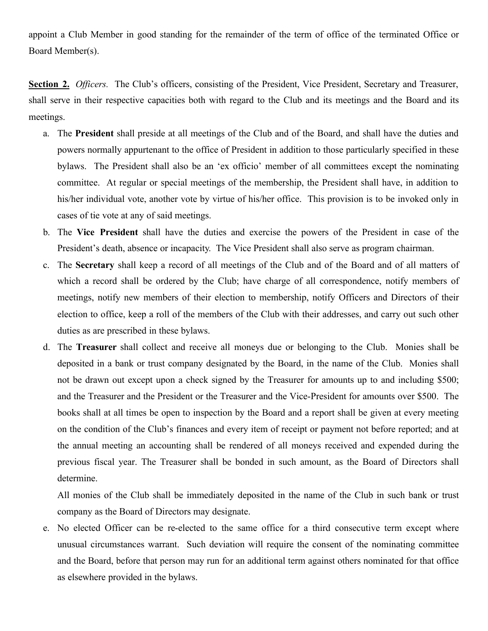appoint a Club Member in good standing for the remainder of the term of office of the terminated Office or Board Member(s).

**Section 2.** *Officers.* The Club's officers, consisting of the President, Vice President, Secretary and Treasurer, shall serve in their respective capacities both with regard to the Club and its meetings and the Board and its meetings.

- a. The **President** shall preside at all meetings of the Club and of the Board, and shall have the duties and powers normally appurtenant to the office of President in addition to those particularly specified in these bylaws. The President shall also be an 'ex officio' member of all committees except the nominating committee. At regular or special meetings of the membership, the President shall have, in addition to his/her individual vote, another vote by virtue of his/her office. This provision is to be invoked only in cases of tie vote at any of said meetings.
- b. The **Vice President** shall have the duties and exercise the powers of the President in case of the President's death, absence or incapacity. The Vice President shall also serve as program chairman.
- c. The **Secretary** shall keep a record of all meetings of the Club and of the Board and of all matters of which a record shall be ordered by the Club; have charge of all correspondence, notify members of meetings, notify new members of their election to membership, notify Officers and Directors of their election to office, keep a roll of the members of the Club with their addresses, and carry out such other duties as are prescribed in these bylaws.
- d. The **Treasurer** shall collect and receive all moneys due or belonging to the Club. Monies shall be deposited in a bank or trust company designated by the Board, in the name of the Club. Monies shall not be drawn out except upon a check signed by the Treasurer for amounts up to and including \$500; and the Treasurer and the President or the Treasurer and the Vice-President for amounts over \$500. The books shall at all times be open to inspection by the Board and a report shall be given at every meeting on the condition of the Club's finances and every item of receipt or payment not before reported; and at the annual meeting an accounting shall be rendered of all moneys received and expended during the previous fiscal year. The Treasurer shall be bonded in such amount, as the Board of Directors shall determine.

All monies of the Club shall be immediately deposited in the name of the Club in such bank or trust company as the Board of Directors may designate.

e. No elected Officer can be re-elected to the same office for a third consecutive term except where unusual circumstances warrant. Such deviation will require the consent of the nominating committee and the Board, before that person may run for an additional term against others nominated for that office as elsewhere provided in the bylaws.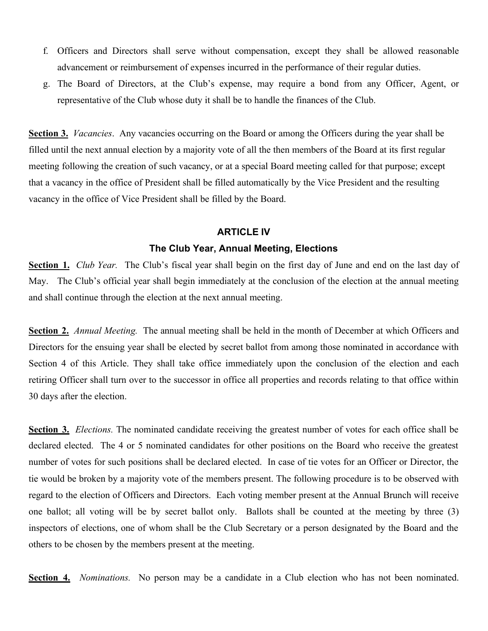- f. Officers and Directors shall serve without compensation, except they shall be allowed reasonable advancement or reimbursement of expenses incurred in the performance of their regular duties.
- g. The Board of Directors, at the Club's expense, may require a bond from any Officer, Agent, or representative of the Club whose duty it shall be to handle the finances of the Club.

**Section 3.** *Vacancies*. Any vacancies occurring on the Board or among the Officers during the year shall be filled until the next annual election by a majority vote of all the then members of the Board at its first regular meeting following the creation of such vacancy, or at a special Board meeting called for that purpose; except that a vacancy in the office of President shall be filled automatically by the Vice President and the resulting vacancy in the office of Vice President shall be filled by the Board.

#### **ARTICLE IV**

#### **The Club Year, Annual Meeting, Elections**

**Section 1.** *Club Year.* The Club's fiscal year shall begin on the first day of June and end on the last day of May. The Club's official year shall begin immediately at the conclusion of the election at the annual meeting and shall continue through the election at the next annual meeting.

**Section 2.** *Annual Meeting.* The annual meeting shall be held in the month of December at which Officers and Directors for the ensuing year shall be elected by secret ballot from among those nominated in accordance with Section 4 of this Article. They shall take office immediately upon the conclusion of the election and each retiring Officer shall turn over to the successor in office all properties and records relating to that office within 30 days after the election.

**Section 3.** *Elections.* The nominated candidate receiving the greatest number of votes for each office shall be declared elected. The 4 or 5 nominated candidates for other positions on the Board who receive the greatest number of votes for such positions shall be declared elected. In case of tie votes for an Officer or Director, the tie would be broken by a majority vote of the members present. The following procedure is to be observed with regard to the election of Officers and Directors. Each voting member present at the Annual Brunch will receive one ballot; all voting will be by secret ballot only. Ballots shall be counted at the meeting by three (3) inspectors of elections, one of whom shall be the Club Secretary or a person designated by the Board and the others to be chosen by the members present at the meeting.

**Section 4.** *Nominations.* No person may be a candidate in a Club election who has not been nominated.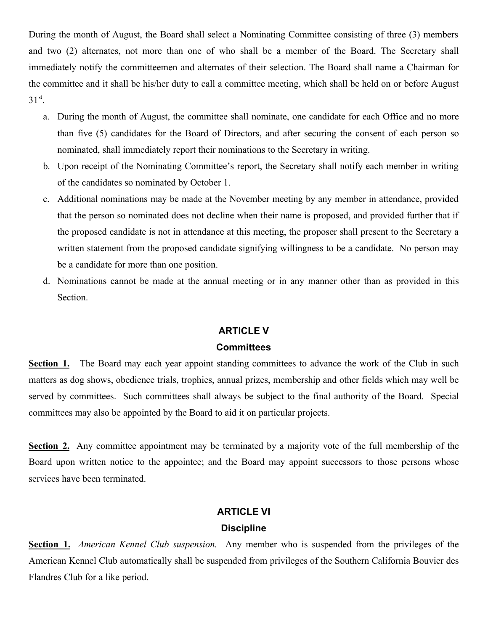During the month of August, the Board shall select a Nominating Committee consisting of three (3) members and two (2) alternates, not more than one of who shall be a member of the Board. The Secretary shall immediately notify the committeemen and alternates of their selection. The Board shall name a Chairman for the committee and it shall be his/her duty to call a committee meeting, which shall be held on or before August  $31^{\text{st}}$ .

- a. During the month of August, the committee shall nominate, one candidate for each Office and no more than five (5) candidates for the Board of Directors, and after securing the consent of each person so nominated, shall immediately report their nominations to the Secretary in writing.
- b. Upon receipt of the Nominating Committee's report, the Secretary shall notify each member in writing of the candidates so nominated by October 1.
- c. Additional nominations may be made at the November meeting by any member in attendance, provided that the person so nominated does not decline when their name is proposed, and provided further that if the proposed candidate is not in attendance at this meeting, the proposer shall present to the Secretary a written statement from the proposed candidate signifying willingness to be a candidate. No person may be a candidate for more than one position.
- d. Nominations cannot be made at the annual meeting or in any manner other than as provided in this Section.

### **ARTICLE V**

#### **Committees**

**Section 1.** The Board may each year appoint standing committees to advance the work of the Club in such matters as dog shows, obedience trials, trophies, annual prizes, membership and other fields which may well be served by committees. Such committees shall always be subject to the final authority of the Board. Special committees may also be appointed by the Board to aid it on particular projects.

**Section 2.** Any committee appointment may be terminated by a majority vote of the full membership of the Board upon written notice to the appointee; and the Board may appoint successors to those persons whose services have been terminated.

#### **ARTICLE VI**

#### **Discipline**

**Section 1.** *American Kennel Club suspension.* Any member who is suspended from the privileges of the American Kennel Club automatically shall be suspended from privileges of the Southern California Bouvier des Flandres Club for a like period.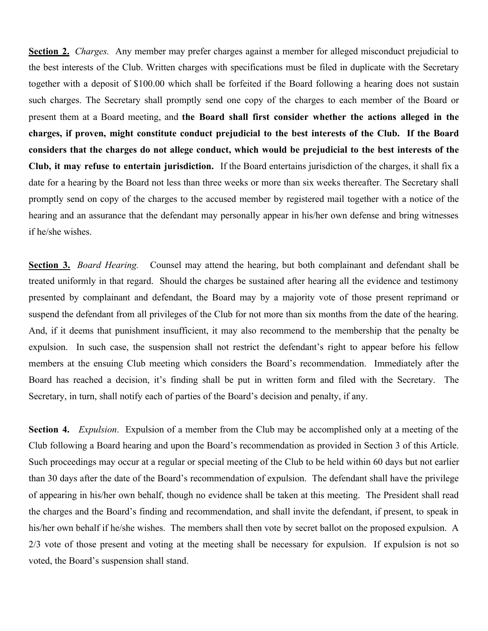**Section 2.** *Charges.* Any member may prefer charges against a member for alleged misconduct prejudicial to the best interests of the Club. Written charges with specifications must be filed in duplicate with the Secretary together with a deposit of \$100.00 which shall be forfeited if the Board following a hearing does not sustain such charges. The Secretary shall promptly send one copy of the charges to each member of the Board or present them at a Board meeting, and **the Board shall first consider whether the actions alleged in the charges, if proven, might constitute conduct prejudicial to the best interests of the Club. If the Board considers that the charges do not allege conduct, which would be prejudicial to the best interests of the Club, it may refuse to entertain jurisdiction.** If the Board entertains jurisdiction of the charges, it shall fix a date for a hearing by the Board not less than three weeks or more than six weeks thereafter. The Secretary shall promptly send on copy of the charges to the accused member by registered mail together with a notice of the hearing and an assurance that the defendant may personally appear in his/her own defense and bring witnesses if he/she wishes.

**Section 3.** *Board Hearing.* Counsel may attend the hearing, but both complainant and defendant shall be treated uniformly in that regard. Should the charges be sustained after hearing all the evidence and testimony presented by complainant and defendant, the Board may by a majority vote of those present reprimand or suspend the defendant from all privileges of the Club for not more than six months from the date of the hearing. And, if it deems that punishment insufficient, it may also recommend to the membership that the penalty be expulsion. In such case, the suspension shall not restrict the defendant's right to appear before his fellow members at the ensuing Club meeting which considers the Board's recommendation. Immediately after the Board has reached a decision, it's finding shall be put in written form and filed with the Secretary. The Secretary, in turn, shall notify each of parties of the Board's decision and penalty, if any.

**Section 4.** *Expulsion*. Expulsion of a member from the Club may be accomplished only at a meeting of the Club following a Board hearing and upon the Board's recommendation as provided in Section 3 of this Article. Such proceedings may occur at a regular or special meeting of the Club to be held within 60 days but not earlier than 30 days after the date of the Board's recommendation of expulsion. The defendant shall have the privilege of appearing in his/her own behalf, though no evidence shall be taken at this meeting. The President shall read the charges and the Board's finding and recommendation, and shall invite the defendant, if present, to speak in his/her own behalf if he/she wishes. The members shall then vote by secret ballot on the proposed expulsion. A 2/3 vote of those present and voting at the meeting shall be necessary for expulsion. If expulsion is not so voted, the Board's suspension shall stand.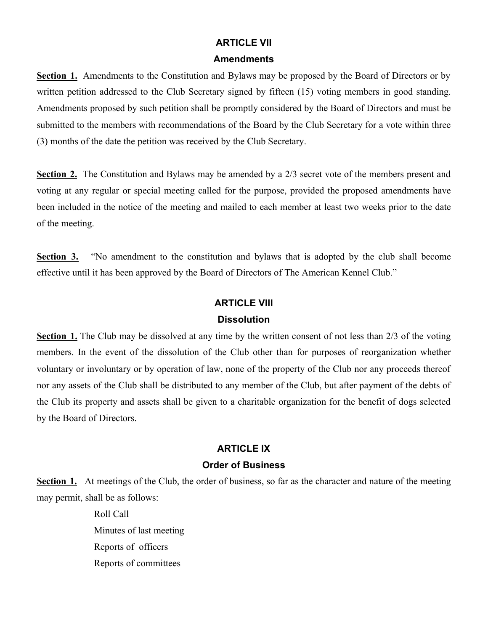# **ARTICLE VII**

#### **Amendments**

**Section 1.** Amendments to the Constitution and Bylaws may be proposed by the Board of Directors or by written petition addressed to the Club Secretary signed by fifteen (15) voting members in good standing. Amendments proposed by such petition shall be promptly considered by the Board of Directors and must be submitted to the members with recommendations of the Board by the Club Secretary for a vote within three (3) months of the date the petition was received by the Club Secretary.

**Section 2.** The Constitution and Bylaws may be amended by a 2/3 secret vote of the members present and voting at any regular or special meeting called for the purpose, provided the proposed amendments have been included in the notice of the meeting and mailed to each member at least two weeks prior to the date of the meeting.

**Section 3.** "No amendment to the constitution and bylaws that is adopted by the club shall become effective until it has been approved by the Board of Directors of The American Kennel Club."

## **ARTICLE VIII**

## **Dissolution**

**Section 1.** The Club may be dissolved at any time by the written consent of not less than 2/3 of the voting members. In the event of the dissolution of the Club other than for purposes of reorganization whether voluntary or involuntary or by operation of law, none of the property of the Club nor any proceeds thereof nor any assets of the Club shall be distributed to any member of the Club, but after payment of the debts of the Club its property and assets shall be given to a charitable organization for the benefit of dogs selected by the Board of Directors.

## **ARTICLE IX**

#### **Order of Business**

**Section 1.** At meetings of the Club, the order of business, so far as the character and nature of the meeting may permit, shall be as follows:

> Roll Call Minutes of last meeting Reports of officers Reports of committees